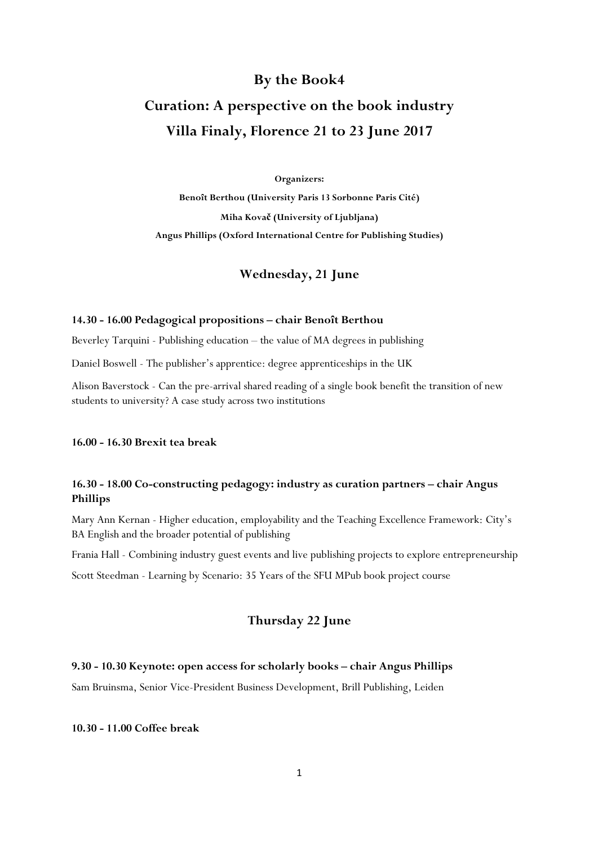# **By the Book4**

# **Curation: A perspective on the book industry Villa Finaly, Florence 21 to 23 June 2017**

#### **Organizers:**

**Benoît Berthou (University Paris 13 Sorbonne Paris Cité) Miha Kovač (University of Ljubljana) Angus Phillips (Oxford International Centre for Publishing Studies)**

# **Wednesday, 21 June**

#### **14.30 - 16.00 Pedagogical propositions – chair Benoît Berthou**

Beverley Tarquini - Publishing education – the value of MA degrees in publishing

Daniel Boswell - The publisher's apprentice: degree apprenticeships in the UK

Alison Baverstock - Can the pre-arrival shared reading of a single book benefit the transition of new students to university? A case study across two institutions

#### **16.00 - 16.30 Brexit tea break**

# **16.30 - 18.00 Co-constructing pedagogy: industry as curation partners – chair Angus Phillips**

Mary Ann Kernan - Higher education, employability and the Teaching Excellence Framework: City's BA English and the broader potential of publishing

Frania Hall - Combining industry guest events and live publishing projects to explore entrepreneurship

Scott Steedman - Learning by Scenario: 35 Years of the SFU MPub book project course

# **Thursday 22 June**

## **9.30 - 10.30 Keynote: open access for scholarly books – chair Angus Phillips**

Sam Bruinsma, Senior Vice-President Business Development, Brill Publishing, Leiden

#### **10.30 - 11.00 Coffee break**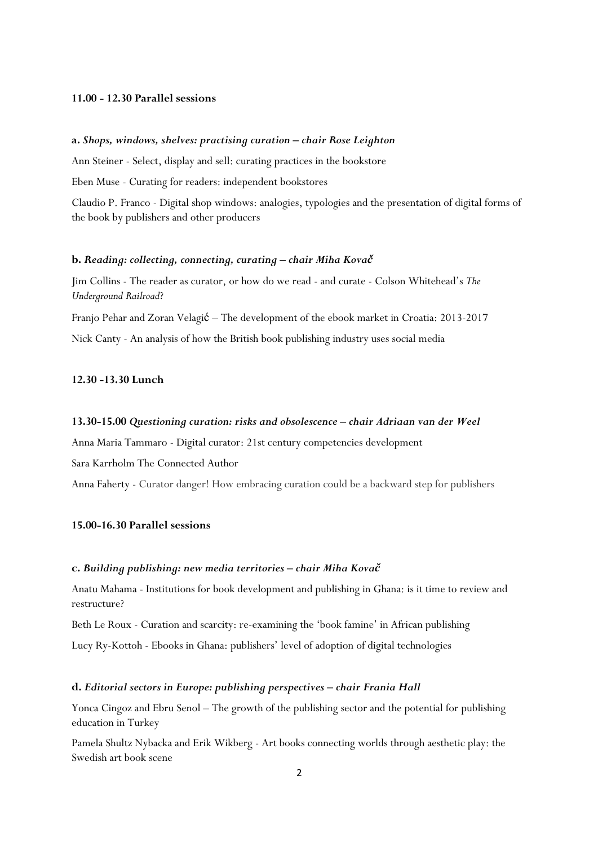#### **11.00 - 12.30 Parallel sessions**

#### **a.** *Shops, windows, shelves: practising curation – chair Rose Leighton*

Ann Steiner - Select, display and sell: curating practices in the bookstore

Eben Muse - Curating for readers: independent bookstores

Claudio P. Franco - Digital shop windows: analogies, typologies and the presentation of digital forms of the book by publishers and other producers

# **b.** *Reading: collecting, connecting, curating – chair Miha Kovač*

Jim Collins - The reader as curator, or how do we read - and curate - Colson Whitehead's *The Underground Railroad*?

Franjo Pehar and Zoran Velagić – The development of the ebook market in Croatia: 2013-2017 Nick Canty - An analysis of how the British book publishing industry uses social media

## **12.30 -13.30 Lunch**

#### **13.30-15.00** *Questioning curation: risks and obsolescence – chair Adriaan van der Weel*

Anna Maria Tammaro - Digital curator: 21st century competencies development

Sara Karrholm The Connected Author

Anna Faherty - Curator danger! How embracing curation could be a backward step for publishers

## **15.00-16.30 Parallel sessions**

#### **c.** *Building publishing: new media territories – chair Miha Kovač*

Anatu Mahama - Institutions for book development and publishing in Ghana: is it time to review and restructure?

Beth Le Roux - Curation and scarcity: re-examining the 'book famine' in African publishing

Lucy Ry-Kottoh - Ebooks in Ghana: publishers' level of adoption of digital technologies

#### **d.** *Editorial sectors in Europe: publishing perspectives – chair Frania Hall*

Yonca Cingoz and Ebru Senol – The growth of the publishing sector and the potential for publishing education in Turkey

Pamela Shultz Nybacka and Erik Wikberg - Art books connecting worlds through aesthetic play: the Swedish art book scene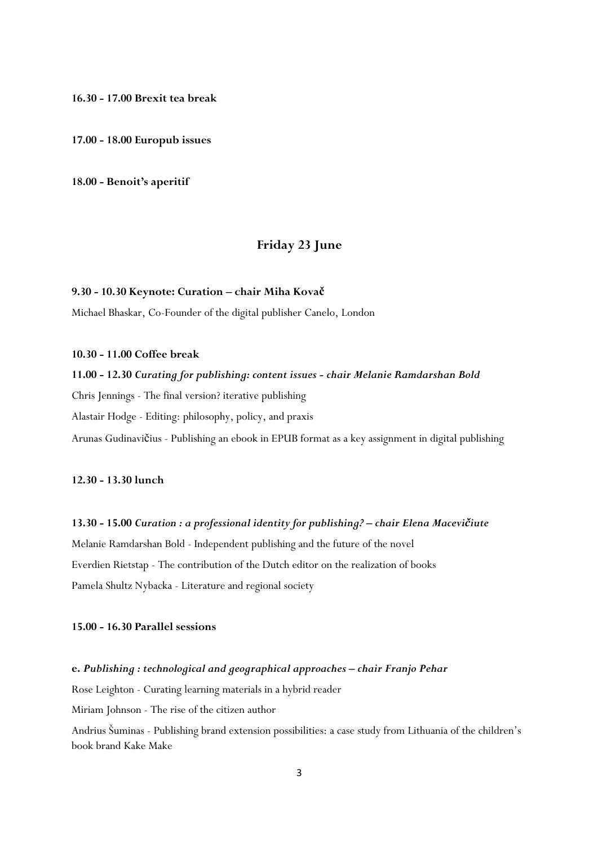**16.30 - 17.00 Brexit tea break**

**17.00 - 18.00 Europub issues**

**18.00 - Benoit's aperitif**

# **Friday 23 June**

## **9.30 - 10.30 Keynote: Curation – chair Miha Kovač**

Michael Bhaskar, Co-Founder of the digital publisher Canelo, London

#### **10.30 - 11.00 Coffee break**

## **11.00 - 12.30** *Curating for publishing: content issues - chair Melanie Ramdarshan Bold*

Chris Jennings - The final version? iterative publishing

Alastair Hodge - Editing: philosophy, policy, and praxis

Arunas Gudinavičius - Publishing an ebook in EPUB format as a key assignment in digital publishing

# **12.30 - 13.30 lunch**

## **13.30 - 15.00** *Curation : a professional identity for publishing? – chair Elena Macevičiute*

Melanie Ramdarshan Bold - Independent publishing and the future of the novel Everdien Rietstap - The contribution of the Dutch editor on the realization of books Pamela Shultz Nybacka - Literature and regional society

## **15.00 - 16.30 Parallel sessions**

#### **e.** *Publishing : technological and geographical approaches – chair Franjo Pehar*

Rose Leighton - Curating learning materials in a hybrid reader

Miriam Johnson - The rise of the citizen author

Andrius Šuminas - Publishing brand extension possibilities: a case study from Lithuania of the children's book brand Kake Make